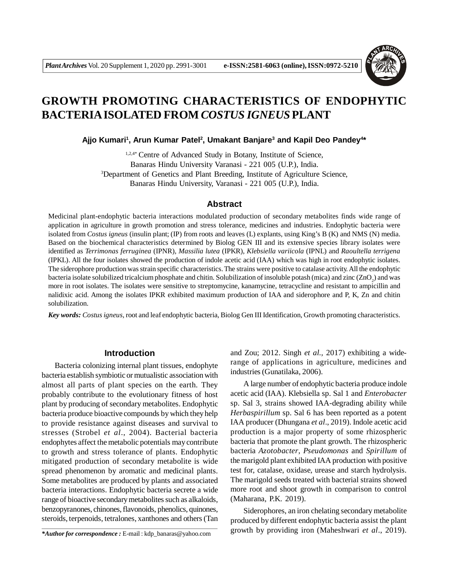

# **GROWTH PROMOTING CHARACTERISTICS OF ENDOPHYTIC BACTERIA ISOLATED FROM** *COSTUS IGNEUS* **PLANT**

Ajjo Kumari<sup>1</sup>, Arun Kumar Patel<sup>2</sup>, Umakant Banjare<sup>3</sup> and Kapil Deo Pandey<sup>4\*</sup>

1,2,4\* Centre of Advanced Study in Botany, Institute of Science, Banaras Hindu University Varanasi - 221 005 (U.P.), India. <sup>3</sup>Department of Genetics and Plant Breeding, Institute of Agriculture Science, Banaras Hindu University, Varanasi - 221 005 (U.P.), India.

## **Abstract**

Medicinal plant-endophytic bacteria interactions modulated production of secondary metabolites finds wide range of application in agriculture in growth promotion and stress tolerance, medicines and industries. Endophytic bacteria were isolated from *Costus igneus* (insulin plant; (IP) from roots and leaves (L) explants, using King's B (K) and NMS (N) media. Based on the biochemical characteristics determined by Biolog GEN III and its extensive species library isolates were identified as *Terrimonas ferruginea* (IPNR), *Massilia lutea* (IPKR), *Klebsiella variicola* (IPNL) and *Raoultella terrigena* (IPKL). All the four isolates showed the production of indole acetic acid (IAA) which was high in root endophytic isolates. The siderophore production was strain specific characteristics. The strains were positive to catalase activity. All the endophytic bacteria isolate solubilized tricalcium phosphate and chitin. Solubilization of insoluble potash (mica) and zinc (ZnO<sub>2</sub>) and was more in root isolates. The isolates were sensitive to streptomycine, kanamycine, tetracycline and resistant to ampicillin and nalidixic acid. Among the isolates IPKR exhibited maximum production of IAA and siderophore and P, K, Zn and chitin solubilization.

*Key words: Costus igneus*, root and leaf endophytic bacteria, Biolog Gen III Identification, Growth promoting characteristics.

# **Introduction**

Bacteria colonizing internal plant tissues, endophyte bacteria establish symbiotic or mutualistic association with almost all parts of plant species on the earth. They probably contribute to the evolutionary fitness of host plant by producing of secondary metabolites. Endophytic bacteria produce bioactive compounds by which they help to provide resistance against diseases and survival to stresses (Strobel *et al*., 2004). Bacterial bacteria endophytes affect the metabolic potentials may contribute to growth and stress tolerance of plants. Endophytic mitigated production of secondary metabolite is wide spread phenomenon by aromatic and medicinal plants. Some metabolites are produced by plants and associated bacteria interactions. Endophytic bacteria secrete a wide range of bioactive secondary metabolites such as alkaloids, benzopyranones, chinones, flavonoids, phenolics, quinones, steroids, terpenoids, tetralones, xanthones and others (Tan

*\*Author for correspondence :* E-mail : kdp\_banaras@yahoo.com

and Zou; 2012. Singh *et al.,* 2017) exhibiting a widerange of applications in agriculture, medicines and industries (Gunatilaka, 2006).

A large number of endophytic bacteria produce indole acetic acid (IAA). Klebsiella sp. Sal 1 and *Enterobacter* sp. Sal 3, strains showed IAA-degrading ability while *Herbaspirillum* sp. Sal 6 has been reported as a potent IAA producer (Dhungana *et al*., 2019). Indole acetic acid production is a major property of some rhizospheric bacteria that promote the plant growth. The rhizospheric bacteria *Azotobacter*, *Pseudomonas* and *Spirillum* of the marigold plant exhibited IAA production with positive test for, catalase, oxidase, urease and starch hydrolysis. The marigold seeds treated with bacterial strains showed more root and shoot growth in comparison to control (Maharana, P.K. 2019).

Siderophores, an iron chelating secondary metabolite produced by different endophytic bacteria assist the plant growth by providing iron (Maheshwari *et al*., 2019).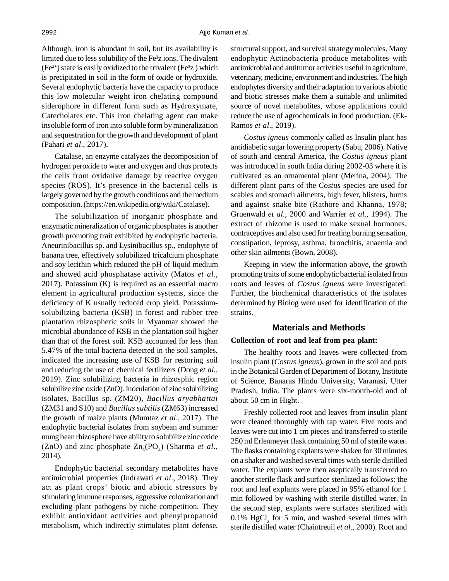Although, iron is abundant in soil, but its availability is limited due to less solubility of the Fe<sup>3</sup>z ions. The divalent  $(Fe<sup>2+</sup>)$  state is easily oxidized to the trivalent (Fe $3z$ ) which is precipitated in soil in the form of oxide or hydroxide. Several endophytic bacteria have the capacity to produce this low molecular weight iron chelating compound siderophore in different form such as Hydroxymate, Catecholates etc. This iron chelating agent can make insoluble form of iron into soluble form by mineralization and sequestration for the growth and development of plant (Pahari *et al*., 2017).

Catalase, an enzyme catalyzes the decomposition of hydrogen peroxide to water and oxygen and thus protects the cells from oxidative damage by reactive oxygen species (ROS). It's presence in the bacterial cells is largely governed by the growth conditions and the medium composition. (https://en.wikipedia.org/wiki/Catalase).

The solubilization of inorganic phosphate and enzymatic mineralization of organic phosphates is another growth promoting trait exhibited by endophytic bacteria. Aneurinibacillus sp. and Lysinibacillus sp., endophyte of banana tree, effectively solubilized tricalcium phosphate and soy lecithin which reduced the pH of liquid medium and showed acid phosphatase activity (Matos *et al*., 2017). Potassium (K) is required as an essential macro element in agricultural production systems, since the deficiency of K usually reduced crop yield. Potassiumsolubilizing bacteria (KSB) in forest and rubber tree plantation rhizospheric soils in Myanmar showed the microbial abundance of KSB in the plantation soil higher than that of the forest soil. KSB accounted for less than 5.47% of the total bacteria detected in the soil samples, indicated the increasing use of KSB for restoring soil and reducing the use of chemical fertilizers (Dong *et al.,* 2019). Zinc solubilizing bacteria in rhizosphic region solubilize zinc oxide (ZnO). Inoculation of zinc solubilizing isolates, Bacillus sp. (ZM20), *Bacillus aryabhattai* (ZM31 and S10) and *Bacillus subtilis* (ZM63) increased the growth of maize plants (Mumtaz *et al*., 2017). The endophytic bacterial isolates from soybean and summer mung bean rhizosphere have ability to solubilize zinc oxide (ZnO) and zinc phosphate  $\text{Zn}_3(\text{PO}_4)$  (Sharma *et al.*, 2014).

Endophytic bacterial secondary metabolites have antimicrobial properties (Indrawati *et al*., 2018). They act as plant crops' biotic and abiotic stressors by stimulating immune responses, aggressive colonization and excluding plant pathogens by niche competition. They exhibit antioxidant activities and phenylpropanoid metabolism, which indirectly stimulates plant defense, structural support, and survival strategy molecules. Many endophytic Actinobacteria produce metabolites with antimicrobial and antitumor activities useful in agriculture, veterinary, medicine, environment and industries. The high endophytes diversity and their adaptation to various abiotic and biotic stresses make them a suitable and unlimited source of novel metabolites, whose applications could reduce the use of agrochemicals in food production. (Ek-Ramos *et al*., 2019).

*Costus igneus* commonly called as Insulin plant has antidiabetic sugar lowering property (Sabu, 2006). Native of south and central America, the *Costus igneus* plant was introduced in south India during 2002-03 where it is cultivated as an ornamental plant (Merina, 2004). The different plant parts of the *Costus* species are used for scabies and stomach ailments, high fever, blisters, burns and against snake bite (Rathore and Khanna, 1978; Gruenwald *et al.,* 2000 and Warrier *et al.,* 1994). The extract of rhizome is used to make sexual hormones, contraceptives and also used for treating burning sensation, constipation, leprosy, asthma, bronchitis, anaemia and other skin ailments (Bown, 2008).

Keeping in view the information above, the growth promoting traits of some endophytic bacterial isolated from roots and leaves of *Costus igneus* were investigated. Further, the biochemical characteristics of the isolates determined by Biolog were used for identification of the strains.

## **Materials and Methods**

#### **Collection of root and leaf from pea plant:**

The healthy roots and leaves were collected from insulin plant (*Costus igneus*), grown in the soil and pots in the Botanical Garden of Department of Botany, Institute of Science, Banaras Hindu University, Varanasi, Utter Pradesh, India. The plants were six-month-old and of about 50 cm in Hight.

Freshly collected root and leaves from insulin plant were cleaned thoroughly with tap water. Five roots and leaves were cut into 1 cm pieces and transferred to sterile 250 ml Erlenmeyer flask containing 50 ml of sterile water. The flasks containing explants were shaken for 30 minutes on a shaker and washed several times with sterile distilled water. The explants were then aseptically transferred to another sterile flask and surface sterilized as follows: the root and leaf explants were placed in 95% ethanol for 1 min followed by washing with sterile distilled water. In the second step, explants were surfaces sterilized with  $0.1\%$  HgCl<sub>2</sub> for 5 min, and washed several times with sterile distilled water (Chaintreuil *et al*., 2000). Root and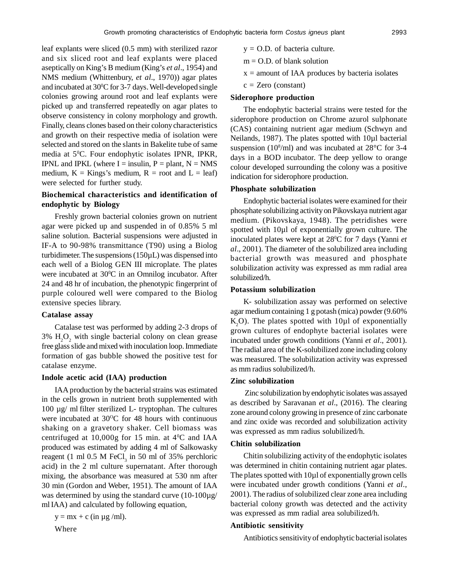leaf explants were sliced (0.5 mm) with sterilized razor and six sliced root and leaf explants were placed aseptically on King's B medium (King's *et al*., 1954) and NMS medium (Whittenbury, *et al*., 1970)) agar plates and incubated at 30°C for 3-7 days. Well-developed single colonies growing around root and leaf explants were picked up and transferred repeatedly on agar plates to observe consistency in colony morphology and growth. Finally, cleans clones based on their colony characteristics and growth on their respective media of isolation were selected and stored on the slants in Bakelite tube of same media at 5<sup>o</sup>C. Four endophytic isolates IPNR, IPKR, IPNL and IPKL (where  $I =$  insulin,  $P =$  plant,  $N = NMS$ medium,  $K =$  Kings's medium,  $R =$  root and  $L =$  leaf) were selected for further study.

# **Biochemical characteristics and identification of endophytic by Biology**

Freshly grown bacterial colonies grown on nutrient agar were picked up and suspended in of 0.85% 5 ml saline solution. Bacterial suspensions were adjusted in IF-A to 90-98% transmittance (T90) using a Biolog turbidimeter. The suspensions (150µL) was dispensed into each well of a Biolog GEN III microplate. The plates were incubated at 30°C in an Omnilog incubator. After 24 and 48 hr of incubation, the phenotypic fingerprint of purple coloured well were compared to the Biolog extensive species library.

#### **Catalase assay**

Catalase test was performed by adding 2-3 drops of  $3\%$  H<sub>2</sub>O<sub>2</sub> with single bacterial colony on clean grease free glass slide and mixed with inoculation loop. Immediate formation of gas bubble showed the positive test for catalase enzyme.

#### **Indole acetic acid (IAA) production**

IAA production by the bacterial strains was estimated in the cells grown in nutrient broth supplemented with 100 µg/ ml filter sterilized L- tryptophan. The cultures were incubated at  $30^{\circ}$ C for 48 hours with continuous shaking on a gravetory shaker. Cell biomass was centrifuged at 10,000g for 15 min. at  $4^{\circ}$ C and IAA produced was estimated by adding 4 ml of Salkowasky reagent (1 ml  $0.5$  M FeCl<sub>3</sub> in 50 ml of 35% perchloric acid) in the 2 ml culture supernatant. After thorough mixing, the absorbance was measured at 530 nm after 30 min (Gordon and Weber, 1951). The amount of IAA was determined by using the standard curve (10-100µg/ mlIAA) and calculated by following equation,

$$
y = mx + c \text{ (in µg/ml)}.
$$

Where

- $y = O.D.$  of bacteria culture.
- $m = O.D.$  of blank solution
- $x =$  amount of IAA produces by bacteria isolates
- $c = Zero (constant)$

#### **Siderophore production**

The endophytic bacterial strains were tested for the siderophore production on Chrome azurol sulphonate (CAS) containing nutrient agar medium (Schwyn and Neilands, 1987). The plates spotted with 10µl bacterial suspension (10 $^{8}$ /ml) and was incubated at 28 $^{\circ}$ C for 3-4 days in a BOD incubator. The deep yellow to orange colour developed surrounding the colony was a positive indication for siderophore production.

#### **Phosphate solubilization**

Endophytic bacterial isolates were examined for their phosphate solubilizing activity on Pikovskaya nutrient agar medium. (Pikovskaya, 1948). The petridishes were spotted with 10µl of exponentially grown culture. The inoculated plates were kept at 28<sup>0</sup>C for 7 days (Yanni *et al*., 2001). The diameter of the solubilized area including bacterial growth was measured and phosphate solubilization activity was expressed as mm radial area solubilized/h.

#### **Potassium solubilization**

K- solubilization assay was performed on selective agar medium containing 1 g potash (mica) powder (9.60%  $K<sub>2</sub>O$ . The plates spotted with 10 $\mu$ l of exponentially grown cultures of endophyte bacterial isolates were incubated under growth conditions (Yanni *et al*., 2001). The radial area of the K-solubilized zone including colony was measured. The solubilization activity was expressed as mm radius solubilized/h.

## **Zinc solubilization**

 Zinc solubilization by endophytic isolates was assayed as described by Saravanan *et al*., (2016). The clearing zone around colony growing in presence of zinc carbonate and zinc oxide was recorded and solubilization activity was expressed as mm radius solubilized/h.

#### **Chitin solubilization**

Chitin solubilizing activity of the endophytic isolates was determined in chitin containing nutrient agar plates. The plates spotted with 10µl of exponentially grown cells were incubated under growth conditions (Yanni *et al*., 2001). The radius of solubilized clear zone area including bacterial colony growth was detected and the activity was expressed as mm radial area solubilized/h.

#### **Antibiotic sensitivity**

Antibiotics sensitivity of endophytic bacterial isolates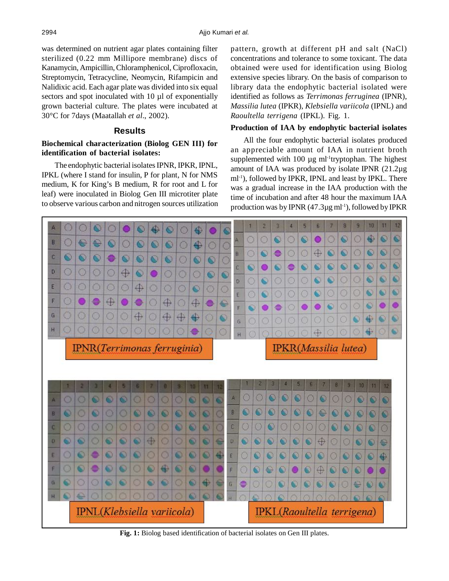was determined on nutrient agar plates containing filter sterilized (0.22 mm Millipore membrane) discs of Kanamycin, Ampicillin, Chloramphenicol, Ciprofloxacin, Streptomycin, Tetracycline, Neomycin, Rifampicin and Nalidixic acid. Each agar plate was divided into six equal sectors and spot inoculated with 10  $\mu$ l of exponentially grown bacterial culture. The plates were incubated at 30°C for 7days (Maatallah *et al*., 2002).

## **Results**

# **Biochemical characterization (Biolog GEN III) for identification of bacterial isolates:**

The endophytic bacterial isolates IPNR, IPKR, IPNL, IPKL (where I stand for insulin, P for plant, N for NMS medium, K for King's B medium, R for root and L for leaf) were inoculated in Biolog Gen III microtiter plate to observe various carbon and nitrogen sources utilization pattern, growth at different pH and salt (NaCl) concentrations and tolerance to some toxicant. The data obtained were used for identification using Biolog extensive species library. On the basis of comparison to library data the endophytic bacterial isolated were identified as follows as *Terrimonas ferruginea* (IPNR), *Massilia lutea* (IPKR), *Klebsiella variicola* (IPNL) and *Raoultella terrigena* (IPKL). Fig. 1.

#### **Production of IAA by endophytic bacterial isolates**

All the four endophytic bacterial isolates produced an appreciable amount of IAA in nutrient broth supplemented with  $100 \mu g$  ml<sup>-1</sup>tryptophan. The highest amount of IAA was produced by isolate IPNR (21.2µg ml-1), followed by IPKR, IPNL and least by IPKL. There was a gradual increase in the IAA production with the time of incubation and after 48 hour the maximum IAA production was by IPNR  $(47.3\mu g$  ml<sup>-1</sup>), followed by IPKR

 $\overline{8}$  $\overline{a}$ 10  $\mathbf{11}$  $12$  $\overline{5}$  $\overline{a}$  $\overline{7}$  $\overline{2}$  $\overline{3}$ z  $\circ$ O  $\bullet$  $\circ$  $\bullet$ 0 Ō Ф g S O O B 용 O €  $\circ$  $\circ$  $\circ$ 4 o O 0  $\overline{O}$  $\overline{\mathbf{O}}$  $\bullet$ e  $\circ$ Ω Ō O O  $\overline{R}$  $\circ$  $\circ$  $\bullet$ e  $\bullet$  $\bullet$  $\circ$  $\circ$  $\overline{O}$  $\circ$  $\circ$  $\bullet$  $\bullet$ s  $\overline{\mathbf{c}}$  $\overline{\mathbf{C}}$ e  $\bullet$  $\bullet$  $\bullet$  $\bullet$ O è 0  $\bigcirc$ D  $\circ$  $\circ$  $\circ$  $^\circ$  $\bullet$ Ġ  $\circ$ Ō O G O O O O D G  $\circ$ E O  $\circ$ Ō  $\oplus$  $\circ$ Ō  $\circ$  $\circ$  $^{\circ}$ G s O O E F ⊕ O Ō ↔ 4 ĕ e Ö  $\ddot{\bullet}$ 6 ۵ ⌒ G ⊕ 0 ⊕ ₩ Ġ G  $H$ 0 IPNR(Terrimonas ferruginia) IPKR(Massilia lutea)  $\circ$ O O  $^{\circ}$ Ō G O o  $\bullet$  $\circ$ O  $\bullet$  $\bullet$  $\circ$ d  $\bullet$ B  $\circ$  $\circ$ O O  $\bullet$  $\circ$  $\bullet$ B Ο O O O O O  $\circ$ O C C O Ο O O ο G O 0 Ö  $\oplus$ G G ۵ o  $\mathbf{D}$  $\bullet$  $\bullet$ 6  $\overline{0}$ G O €  $\circ$  $\circ$  $\circ$ σ  $\mathbf 0$  $\bullet$ € Ō  $\overline{\mathbf{a}}$ G  $\circ$ ۵  $\bullet$ E e O o  $\circ$ E  $^{\circ}$  $\bullet$  $\bullet$  $\circ$  $\bullet$  $\bullet$ ٥ O ⊕ 0 G G F O ω ω G F ≙  $\circ$  $\bullet$  $\mathbf \Theta$ O G ⊕ G G G o о o e  $\sqrt{6}$  $\bullet$  $\bullet$ O  $\circ$ G € € IPNL(Klebsiella variicola) **IPKL**(Raoultella terrigena)

**Fig. 1:** Biolog based identification of bacterial isolates on Gen III plates.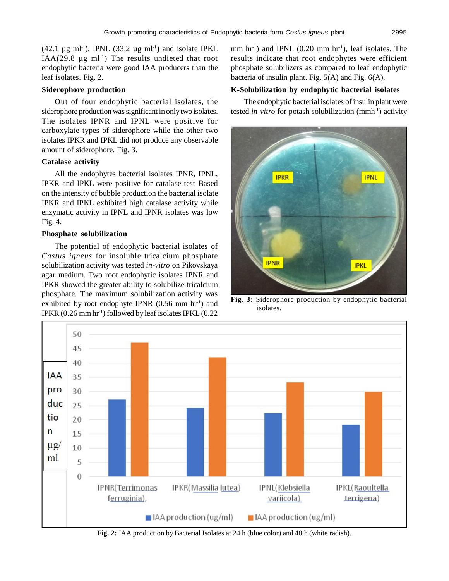(42.1  $\mu$ g ml<sup>-1</sup>), IPNL (33.2  $\mu$ g ml<sup>-1</sup>) and isolate IPKL IAA(29.8  $\mu$ g ml<sup>-1</sup>) The results undieted that root endophytic bacteria were good IAA producers than the leaf isolates. Fig. 2.

## **Siderophore production**

Out of four endophytic bacterial isolates, the siderophore production was significant in only two isolates. The isolates IPNR and IPNL were positive for carboxylate types of siderophore while the other two isolates IPKR and IPKL did not produce any observable amount of siderophore. Fig. 3.

### **Catalase activity**

All the endophytes bacterial isolates IPNR, IPNL, IPKR and IPKL were positive for catalase test Based on the intensity of bubble production the bacterial isolate IPKR and IPKL exhibited high catalase activity while enzymatic activity in IPNL and IPNR isolates was low Fig. 4.

## **Phosphate solubilization**

The potential of endophytic bacterial isolates of *Castus igneus* for insoluble tricalcium phosphate solubilization activity was tested *in-vitro* on Pikovskaya agar medium. Two root endophytic isolates IPNR and IPKR showed the greater ability to solubilize tricalcium phosphate. The maximum solubilization activity was exhibited by root endophyte IPNR  $(0.56 \text{ mm hr}^{-1})$  and IPKR  $(0.26 \text{ mm hr}^{-1})$  followed by leaf isolates IPKL  $(0.22$ 

mm  $hr<sup>-1</sup>$ ) and IPNL (0.20 mm  $hr<sup>-1</sup>$ ), leaf isolates. The results indicate that root endophytes were efficient phosphate solubilizers as compared to leaf endophytic bacteria of insulin plant. Fig. 5(A) and Fig. 6(A).

## **K-Solubilization by endophytic bacterial isolates**

The endophytic bacterial isolates of insulin plant were tested *in-vitro* for potash solubilization (mmh<sup>-1</sup>) activity



**Fig. 3:** Siderophore production by endophytic bacterial isolates.



**Fig. 2:** IAA production by Bacterial Isolates at 24 h (blue color) and 48 h (white radish).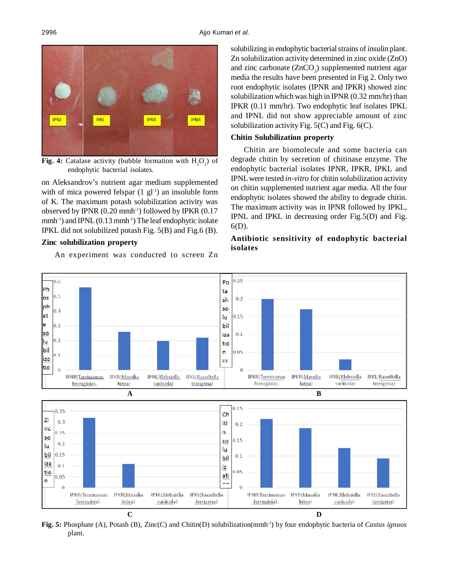

**Fig. 4:** Catalase activity (bubble formation with  $H_2O_2$ ) of endophytic bacterial isolates.

on Aleksandrov's nutrient agar medium supplemented with of mica powered felspar  $(1 \text{ gl}^{-1})$  an insoluble form of K. The maximum potash solubilization activity was observed by IPNR  $(0.20 \text{ mm}h^{-1})$  followed by IPKR  $(0.17$ mmh<sup>-1</sup>) and IPNL (0.13 mmh<sup>-1</sup>) The leaf endophytic isolate IPKL did not solubilized potash Fig. 5(B) and Fig.6 (B).

## **Zinc solubilization property**

An experiment was conducted to screen Zn

solubilizing in endophytic bacterial strains of insulin plant. Zn solubilization activity determined in zinc oxide (ZnO) and zinc carbonate  $(ZnCO_3)$  supplemented nutrient agar media the results have been presented in Fig 2. Only two root endophytic isolates (IPNR and IPKR) showed zinc solubilization which was high in IPNR (0.32 mm/hr) than IPKR (0.11 mm/hr). Two endophytic leaf isolates IPKL and IPNL did not show appreciable amount of zinc solubilization activity Fig. 5(C) and Fig. 6(C).

## **Chitin Solubilization property**

Chitin are biomolecule and some bacteria can degrade chitin by secretion of chitinase enzyme. The endophytic bacterial isolates IPNR, IPKR, IPKL and IPNL were tested *in-vitro* for chitin solubilization activity on chitin supplemented nutrient agar media. All the four endophytic isolates showed the ability to degrade chitin. The maximum activity was in IPNR followed by IPKL*,* IPNL and IPKL in decreasing order Fig.5(D) and Fig. 6(D).

# **Antibiotic sensitivity of endophytic bacterial isolates**



**Fig. 5:** Phosphate (A), Potash (B), Zinc(C) and Chitin(D) solubilization(mmh-1) by four endophytic bacteria of *Castus ignuos* plant.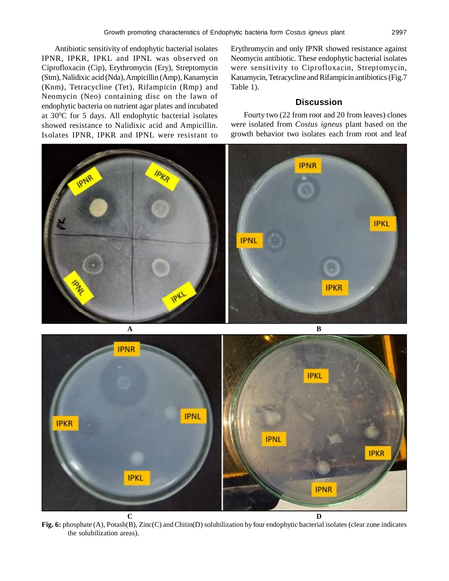Antibiotic sensitivity of endophytic bacterial isolates IPNR, IPKR, IPKL and IPNL was observed on Ciprofloxacin (Cip), Erythromycin (Ery), Streptomycin (Stm), Nalidixic acid (Nda), Ampicillin (Amp), Kanamycin (Knm), Tetracycline (Tet), Rifampicin (Rmp) and Neomycin (Neo) containing disc on the lawn of endophytic bacteria on nutrient agar plates and incubated at 30<sup>0</sup>C for 5 days. All endophytic bacterial isolates showed resistance to Nalidixic acid and Ampicillin. Isolates IPNR, IPKR and IPNL were resistant to

**IPKL** 

Erythromycin and only IPNR showed resistance against Neomycin antibiotic. These endophytic bacterial isolates were sensitivity to Ciprofloxacin, Streptomycin, Kanamycin, Tetracycline and Rifampicin antibiotics (Fig.7 Table 1).

# **Discussion**

Fourty two (22 from root and 20 from leaves) clones were isolated from *Costus igneus* plant based on the growth behavior two isolates each from root and leaf



**C D Fig. 6:** phosphate (A), Potash(B), Zinc(C) and Chitin(D) solubilization by four endophytic bacterial isolates (clear zone indicates the solubilization areas).

**IPKR** 

**IPNR**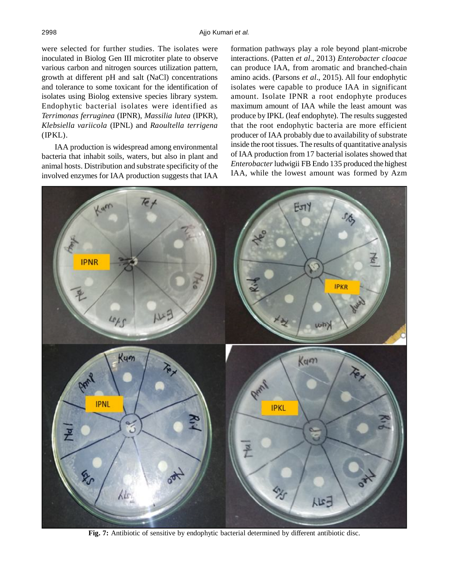were selected for further studies. The isolates were inoculated in Biolog Gen III microtiter plate to observe various carbon and nitrogen sources utilization pattern, growth at different pH and salt (NaCl) concentrations and tolerance to some toxicant for the identification of isolates using Biolog extensive species library system. Endophytic bacterial isolates were identified as *Terrimonas ferruginea* (IPNR), *Massilia lutea* (IPKR), *Klebsiella variicola* (IPNL) and *Raoultella terrigena* (IPKL).

IAA production is widespread among environmental bacteria that inhabit soils, waters, but also in plant and animal hosts. Distribution and substrate specificity of the involved enzymes for IAA production suggests that IAA formation pathways play a role beyond plant-microbe interactions. (Patten *et al*., 2013) *Enterobacter cloacae* can produce IAA, from aromatic and branched-chain amino acids. (Parsons *et al*., 2015). All four endophytic isolates were capable to produce IAA in significant amount. Isolate IPNR a root endophyte produces maximum amount of IAA while the least amount was produce by IPKL (leaf endophyte). The results suggested that the root endophytic bacteria are more efficient producer of IAA probably due to availability of substrate inside the root tissues. The results of quantitative analysis of IAA production from 17 bacterial isolates showed that *Enterobacter* ludwigii FB Endo 135 produced the highest IAA, while the lowest amount was formed by Azm



**Fig. 7:** Antibiotic of sensitive by endophytic bacterial determined by different antibiotic disc.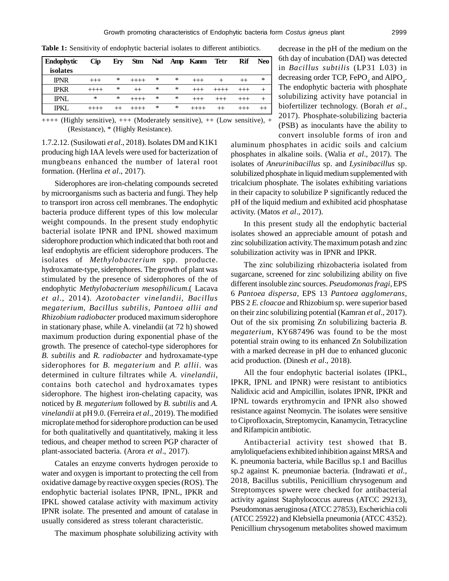**Table 1:** Sensitivity of endophytic bacterial isolates to different antibiotics.

| <b>Endophytic</b> | <b>Cip</b> | Ery | <b>Stm</b> |   |   | Nad Amp Kanm | Tetr | Rif | Neo |
|-------------------|------------|-----|------------|---|---|--------------|------|-----|-----|
| isolates          |            |     |            |   |   |              |      |     |     |
| <b>IPNR</b>       | $^{+++}$   | *   | $++++$     | ∗ | ∗ | $^{+++}$     |      |     | ∗   |
| <b>IPKR</b>       | $++++-$    | *   | $^{+}$     | * | * |              |      |     |     |
| <b>IPNL</b>       | ∗          | *   |            | * | * |              |      |     |     |
| <b>IPKL</b>       |            |     |            | * | * |              |      |     |     |

++++ (Highly sensitive), +++ (Moderately sensitive), ++ (Low sensitive), + (Resistance), \* (Highly Resistance).

1.7.2.12. (Susilowati *et al.,* 2018). Isolates DM and K1K1 producing high IAA levels were used for bacterization of mungbeans enhanced the number of lateral root formation. (Herlina *et al*., 2017).

Siderophores are iron-chelating compounds secreted by microorganisms such as bacteria and fungi. They help to transport iron across cell membranes. The endophytic bacteria produce different types of this low molecular weight compounds. In the present study endophytic bacterial isolate IPNR and IPNL showed maximum siderophore production which indicated that both root and leaf endophytis are efficient siderophore producers. The isolates of *Methylobacterium* spp. producte. hydroxamate-type, siderophores. The growth of plant was stimulated by the presence of siderophores of the of endophytic *Methylobacterium mesophilicum*.( Lacava *et al.,* 2014). *Azotobacter vinelandii, Bacillus megaterium, Bacillus subtilis, Pantoea allii and Rhizobium radiobacter* produced maximum siderophore in stationary phase, while A. vinelandii (at 72 h) showed maximum production during exponential phase of the growth. The presence of catechol-type siderophores for *B. subtilis* and *R. radiobacter* and hydroxamate-type siderophores for *B. megaterium* and *P. allii*. was determined in culture filtrates while *A. vinelandii*, contains both catechol and hydroxamates types siderophore. The highest iron-chelating capacity, was noticed by *B. megaterium* followed by *B. subtilis* and *A. vinelandii* at pH 9.0. (Ferreira *et al*., 2019). The modified microplate method for siderophore production can be used for both qualitativelly and quantitatively, making it less tedious, and cheaper method to screen PGP character of plant-associated bacteria. (Arora *et al*., 2017).

Catales an enzyme converts hydrogen peroxide to water and oxygen is important to protecting the cell from oxidative damage by reactive oxygen species (ROS). The endophytic bacterial isolates IPNR, IPNL, IPKR and IPKL showed catalase activity with maximum activity IPNR isolate. The presented and amount of catalase in usually considered as stress tolerant characteristic.

The maximum phosphate solubilizing activity with

decrease in the pH of the medium on the 6th day of incubation (DAI) was detected in *Bacillus subtilis* (LP31 L03) in decreasing order TCP,  $\text{FePO}_4$  and  $\text{AIPO}_4$ . The endophytic bacteria with phosphate solubilizing activity have potancial in biofertilizer technology. (Borah *et al*., 2017). Phosphate-solubilizing bacteria (PSB) as inoculants have the ability to convert insoluble forms of iron and

aluminum phosphates in acidic soils and calcium phosphates in alkaline soils. (Walia *et al*., 2017). The isolates of *Aneurinibacillus* sp. and *Lysinibacillus* sp. solubilized phosphate in liquid medium supplemented with tricalcium phosphate. The isolates exhibiting variations in their capacity to solubilize P significantly reduced the pH of the liquid medium and exhibited acid phosphatase activity. (Matos *et al*., 2017).

In this present study all the endophytic bacterial isolates showed an appreciable amount of potash and zinc solubilization activity. The maximum potash and zinc solubilization activity was in IPNR and IPKR.

The zinc solubilizing rhizobacteria isolated from sugarcane, screened for zinc solubilizing ability on five different insoluble zinc sources. *Pseudomonas fragi*, EPS 6 *Pantoea dispersa*, EPS 13 *Pantoea agglomerans*, PBS 2 *E. cloacae* and Rhizobium sp. were superior based on their zinc solubilizing potential (Kamran *et al*., 2017). Out of the six promising Zn solubilizing bacteria *B. megaterium*, KY687496 was found to be the most potential strain owing to its enhanced Zn Solubilization with a marked decrease in pH due to enhanced gluconic acid production. (Dinesh *et al*., 2018).

All the four endophytic bacterial isolates (IPKL, IPKR, IPNL and IPNR) were resistant to antibiotics Nalidixic acid and Ampicillin, isolates IPNR, IPKR and IPNL towards erythromycin and IPNR also showed resistance against Neomycin. The isolates were sensitive to Ciprofloxacin, Streptomycin, Kanamycin, Tetracycline and Rifampicin antibiotic.

Antibacterial activity test showed that B. amyloliquefaciens exhibited inhibition against MRSA and K. pneumonia bacteria, while Bacillus sp.1 and Bacillus sp.2 against K. pneumoniae bacteria. (Indrawati *et al.,* 2018, Bacillus subtilis, Penicillium chrysogenum and Streptomyces spwere were checked for antibacterial activity against Staphylococcus aureus (ATCC 29213), Pseudomonas aeruginosa (ATCC 27853), Escherichia coli (ATCC 25922) and Klebsiella pneumonia (ATCC 4352). Penicillium chrysogenum metabolites showed maximum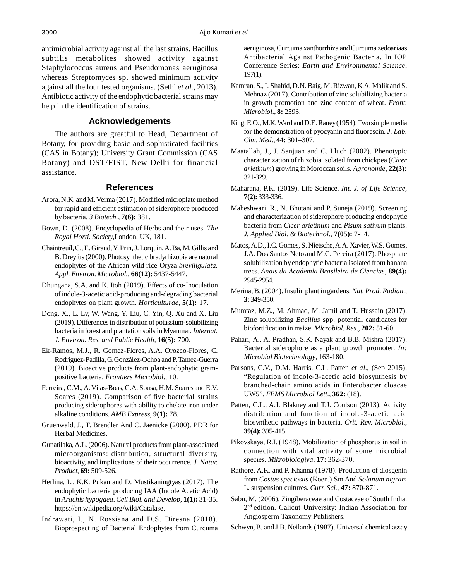antimicrobial activity against all the last strains. Bacillus subtilis metabolites showed activity against Staphylococcus aureus and Pseudomonas aeruginosa whereas Streptomyces sp. showed minimum activity against all the four tested organisms. (Sethi *et al.,* 2013). Antibiotic activity of the endophytic bacterial strains may help in the identification of strains.

# **Acknowledgements**

The authors are greatful to Head, Department of Botany, for providing basic and sophisticated facilities (CAS in Botany); University Grant Commission (CAS Botany) and DST/FIST, New Delhi for financial assistance.

# **References**

- Arora, N.K. and M. Verma (2017). Modified microplate method for rapid and efficient estimation of siderophore produced by bacteria. *3 Biotech.,* **7(6):** 381.
- Bown, D. (2008). Encyclopedia of Herbs and their uses. *The Royal Horti. Society,*London, UK, 181.
- Chaintreuil, C., E. Giraud, Y. Prin, J. Lorquin, A. Ba, M. Gillis and B. Dreyfus (2000). Photosynthetic bradyrhizobia are natural endophytes of the African wild rice Oryza *breviligulata. Appl. Environ. Microbiol.*, **66(12):** 5437-5447.
- Dhungana, S.A. and K. Itoh (2019). Effects of co-Inoculation of indole-3-acetic acid-producing and-degrading bacterial endophytes on plant growth. *Horticulturae*, **5(1):** 17.
- Dong, X., L. Lv, W. Wang, Y. Liu, C. Yin, Q. Xu and X. Liu (2019). Differences in distribution of potassium-solubilizing bacteria in forest and plantation soils in Myanmar. *Internat. J. Environ. Res. and Public Health,* **16(5):** 700.
- Ek-Ramos, M.J., R. Gomez-Flores, A.A. Orozco-Flores, C. Rodríguez-Padilla, G. González-Ochoa and P. Tamez-Guerra (2019). Bioactive products from plant-endophytic grampositive bacteria. *Frontiers Microbiol*., 10.
- Ferreira, C.M., A. Vilas-Boas, C.A. Sousa, H.M. Soares and E.V. Soares (2019). Comparison of five bacterial strains producing siderophores with ability to chelate iron under alkaline conditions. *AMB Express*, **9(1):** 78.
- Gruenwald, J., T. Brendler And C. Jaenicke (2000). PDR for Herbal Medicines.
- Gunatilaka, A.L. (2006). Natural products from plant-associated microorganisms: distribution, structural diversity, bioactivity, and implications of their occurrence. *J. Natur. Product*, **69:** 509-526.
- Herlina, L., K.K. Pukan and D. Mustikaningtyas (2017). The endophytic bacteria producing IAA (Indole Acetic Acid) in *Arachis hypogaea*. *Cell Biol. and Develop*, **1(1):** 31-35. https://en.wikipedia.org/wiki/Catalase.
- Indrawati, I., N. Rossiana and D.S. Diresna (2018). Bioprospecting of Bacterial Endophytes from Curcuma

aeruginosa, Curcuma xanthorrhiza and Curcuma zedoariaas Antibacterial Against Pathogenic Bacteria. In IOP Conference Series: *Earth and Environmental Science*, 197(1).

- Kamran, S., I. Shahid, D.N. Baig, M. Rizwan, K.A. Malik and S. Mehnaz (2017). Contribution of zinc solubilizing bacteria in growth promotion and zinc content of wheat. *Front. Microbiol*., **8:** 2593.
- King, E.O., M.K. Ward and D.E. Raney (1954). Two simple media for the demonstration of pyocyanin and fluorescin. *J. Lab. Clin. Med*., **44:** 301–307.
- Maatallah, J., J. Sanjuan and C. Lluch (2002). Phenotypic characterization of rhizobia isolated from chickpea (*Cicer arietinum*) growing in Moroccan soils. *Agronomie*, **22(3):** 321-329.
- Maharana, P.K. (2019). Life Science. *Int. J. of Life Science,* **7(2):** 333-336.
- Maheshwari, R., N. Bhutani and P. Suneja (2019). Screening and characterization of siderophore producing endophytic bacteria from *Cicer arietinum* and *Pisum sativum* plants. *J. Applied Biol. & Biotechnol*., **7(05):** 7-14.
- Matos, A.D., I.C. Gomes, S. Nietsche, A.A. Xavier, W.S. Gomes, J.A. Dos Santos Neto and M.C. Pereira (2017). Phosphate solubilization by endophytic bacteria isolated from banana trees. *Anais da Academia Brasileira de Ciencias*, **89(4):** 2945-2954.
- Merina, B. (2004). Insulin plant in gardens. *Nat. Prod. Radian.*, **3:** 349-350.
- Mumtaz, M.Z., M. Ahmad, M. Jamil and T. Hussain (2017). Zinc solubilizing *Bacillus* spp. potential candidates for biofortification in maize. *Microbiol. Res*., **202:** 51-60.
- Pahari, A., A. Pradhan, S.K. Nayak and B.B. Mishra (2017). Bacterial siderophore as a plant growth promoter. *In: Microbial Biotechnology*, 163-180.
- Parsons, C.V., D.M. Harris, C.L. Patten *et al*., (Sep 2015). "Regulation of indole-3-acetic acid biosynthesis by branched-chain amino acids in Enterobacter cloacae UW5". *FEMS Microbiol Lett*., **362:** (18).
- Patten, C.L., A.J. Blakney and T.J. Coulson (2013). Activity, distribution and function of indole-3-acetic acid biosynthetic pathways in bacteria. *Crit. Rev. Microbiol*., **39(4):** 395-415.
- Pikovskaya, R.I. (1948). Mobilization of phosphorus in soil in connection with vital activity of some microbial species. *Mikrobiologiya*, **17:** 362-370.
- Rathore, A.K. and P. Khanna (1978). Production of diosgenin from *Costus speciosus* (Koen.) Sm And *Solanum nigram* L. suspension cultures. *Curr. Sci.,* **47:** 870-871.
- Sabu, M. (2006). Zingiberaceae and Costaceae of South India. 2 nd edition. Calicut University: Indian Association for Angiosperm Taxonomy Publishers.
- Schwyn, B. and J.B. Neilands (1987). Universal chemical assay